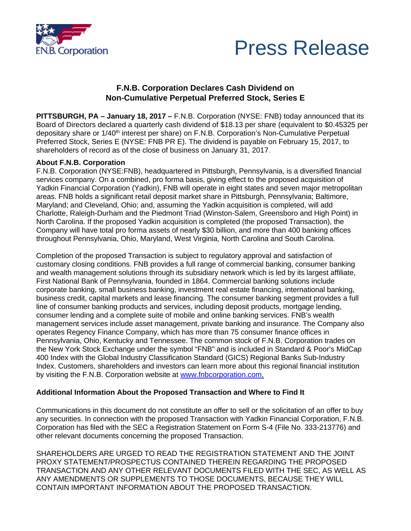



## **F.N.B. Corporation Declares Cash Dividend on Non-Cumulative Perpetual Preferred Stock, Series E**

**PITTSBURGH, PA – January 18, 2017 –** F.N.B. Corporation (NYSE: FNB) today announced that its Board of Directors declared a quarterly cash dividend of \$18.13 per share (equivalent to \$0.45325 per depositary share or 1/40<sup>th</sup> interest per share) on F.N.B. Corporation's Non-Cumulative Perpetual Preferred Stock, Series E (NYSE: FNB PR E). The dividend is payable on February 15, 2017, to shareholders of record as of the close of business on January 31, 2017.

## **About F.N.B. Corporation**

F.N.B. Corporation (NYSE:FNB), headquartered in Pittsburgh, Pennsylvania, is a diversified financial services company. On a combined, pro forma basis, giving effect to the proposed acquisition of Yadkin Financial Corporation (Yadkin), FNB will operate in eight states and seven major metropolitan areas. FNB holds a significant retail deposit market share in Pittsburgh, Pennsylvania; Baltimore, Maryland; and Cleveland, Ohio; and, assuming the Yadkin acquisition is completed, will add Charlotte, Raleigh-Durham and the Piedmont Triad (Winston-Salem, Greensboro and High Point) in North Carolina. If the proposed Yadkin acquisition is completed (the proposed Transaction), the Company will have total pro forma assets of nearly \$30 billion, and more than 400 banking offices throughout Pennsylvania, Ohio, Maryland, West Virginia, North Carolina and South Carolina.

Completion of the proposed Transaction is subject to regulatory approval and satisfaction of customary closing conditions. FNB provides a full range of commercial banking, consumer banking and wealth management solutions through its subsidiary network which is led by its largest affiliate, First National Bank of Pennsylvania, founded in 1864. Commercial banking solutions include corporate banking, small business banking, investment real estate financing, international banking, business credit, capital markets and lease financing. The consumer banking segment provides a full line of consumer banking products and services, including deposit products, mortgage lending, consumer lending and a complete suite of mobile and online banking services. FNB's wealth management services include asset management, private banking and insurance. The Company also operates Regency Finance Company, which has more than 75 consumer finance offices in Pennsylvania, Ohio, Kentucky and Tennessee. The common stock of F.N.B. Corporation trades on the New York Stock Exchange under the symbol "FNB" and is included in Standard & Poor's MidCap 400 Index with the Global Industry Classification Standard (GICS) Regional Banks Sub-Industry Index. Customers, shareholders and investors can learn more about this regional financial institution by visiting the F.N.B. Corporation website at www.fnbcorporation.com.

## **Additional Information About the Proposed Transaction and Where to Find It**

Communications in this document do not constitute an offer to sell or the solicitation of an offer to buy any securities. In connection with the proposed Transaction with Yadkin Financial Corporation, F.N.B. Corporation has filed with the SEC a Registration Statement on Form S-4 (File No. 333-213776) and other relevant documents concerning the proposed Transaction.

SHAREHOLDERS ARE URGED TO READ THE REGISTRATION STATEMENT AND THE JOINT PROXY STATEMENT/PROSPECTUS CONTAINED THEREIN REGARDING THE PROPOSED TRANSACTION AND ANY OTHER RELEVANT DOCUMENTS FILED WITH THE SEC, AS WELL AS ANY AMENDMENTS OR SUPPLEMENTS TO THOSE DOCUMENTS, BECAUSE THEY WILL CONTAIN IMPORTANT INFORMATION ABOUT THE PROPOSED TRANSACTION.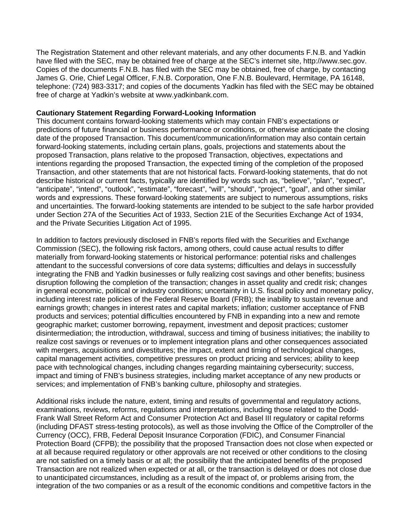The Registration Statement and other relevant materials, and any other documents F.N.B. and Yadkin have filed with the SEC, may be obtained free of charge at the SEC's internet site, http://www.sec.gov. Copies of the documents F.N.B. has filed with the SEC may be obtained, free of charge, by contacting James G. Orie, Chief Legal Officer, F.N.B. Corporation, One F.N.B. Boulevard, Hermitage, PA 16148, telephone: (724) 983-3317; and copies of the documents Yadkin has filed with the SEC may be obtained free of charge at Yadkin's website at www.yadkinbank.com.

## **Cautionary Statement Regarding Forward-Looking Information**

This document contains forward-looking statements which may contain FNB's expectations or predictions of future financial or business performance or conditions, or otherwise anticipate the closing date of the proposed Transaction. This document/communication/information may also contain certain forward-looking statements, including certain plans, goals, projections and statements about the proposed Transaction, plans relative to the proposed Transaction, objectives, expectations and intentions regarding the proposed Transaction, the expected timing of the completion of the proposed Transaction, and other statements that are not historical facts. Forward-looking statements, that do not describe historical or current facts, typically are identified by words such as, "believe", "plan", "expect", "anticipate", "intend", "outlook", "estimate", "forecast", "will", "should", "project", "goal", and other similar words and expressions. These forward-looking statements are subject to numerous assumptions, risks and uncertainties. The forward-looking statements are intended to be subject to the safe harbor provided under Section 27A of the Securities Act of 1933, Section 21E of the Securities Exchange Act of 1934, and the Private Securities Litigation Act of 1995.

In addition to factors previously disclosed in FNB's reports filed with the Securities and Exchange Commission (SEC), the following risk factors, among others, could cause actual results to differ materially from forward-looking statements or historical performance: potential risks and challenges attendant to the successful conversions of core data systems; difficulties and delays in successfully integrating the FNB and Yadkin businesses or fully realizing cost savings and other benefits; business disruption following the completion of the transaction; changes in asset quality and credit risk; changes in general economic, political or industry conditions; uncertainty in U.S. fiscal policy and monetary policy, including interest rate policies of the Federal Reserve Board (FRB); the inability to sustain revenue and earnings growth; changes in interest rates and capital markets; inflation; customer acceptance of FNB products and services; potential difficulties encountered by FNB in expanding into a new and remote geographic market; customer borrowing, repayment, investment and deposit practices; customer disintermediation; the introduction, withdrawal, success and timing of business initiatives; the inability to realize cost savings or revenues or to implement integration plans and other consequences associated with mergers, acquisitions and divestitures; the impact, extent and timing of technological changes, capital management activities, competitive pressures on product pricing and services; ability to keep pace with technological changes, including changes regarding maintaining cybersecurity; success, impact and timing of FNB's business strategies, including market acceptance of any new products or services; and implementation of FNB's banking culture, philosophy and strategies.

Additional risks include the nature, extent, timing and results of governmental and regulatory actions, examinations, reviews, reforms, regulations and interpretations, including those related to the Dodd-Frank Wall Street Reform Act and Consumer Protection Act and Basel III regulatory or capital reforms (including DFAST stress-testing protocols), as well as those involving the Office of the Comptroller of the Currency (OCC), FRB, Federal Deposit Insurance Corporation (FDIC), and Consumer Financial Protection Board (CFPB); the possibility that the proposed Transaction does not close when expected or at all because required regulatory or other approvals are not received or other conditions to the closing are not satisfied on a timely basis or at all; the possibility that the anticipated benefits of the proposed Transaction are not realized when expected or at all, or the transaction is delayed or does not close due to unanticipated circumstances, including as a result of the impact of, or problems arising from, the integration of the two companies or as a result of the economic conditions and competitive factors in the